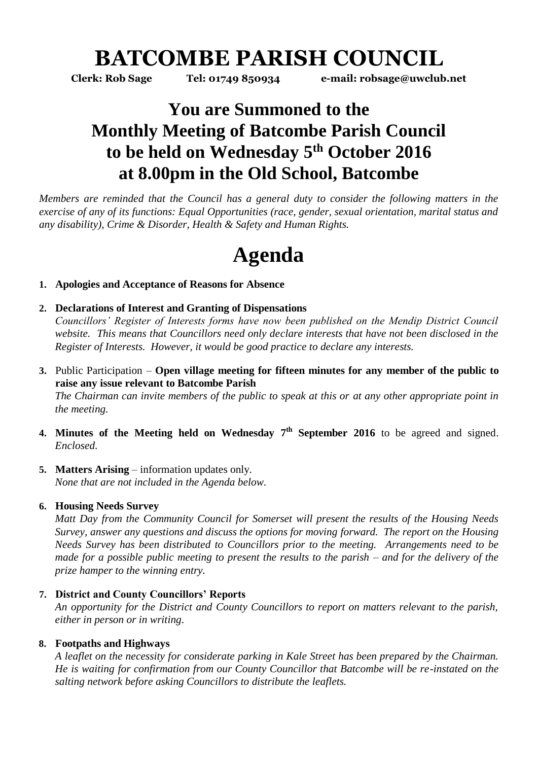# **BATCOMBE PARISH COUNCIL**

**Clerk: Rob Sage Tel: 01749 850934 e-mail: robsage@uwclub.net**

### **You are Summoned to the Monthly Meeting of Batcombe Parish Council to be held on Wednesday 5 th October 2016 at 8.00pm in the Old School, Batcombe**

*Members are reminded that the Council has a general duty to consider the following matters in the exercise of any of its functions: Equal Opportunities (race, gender, sexual orientation, marital status and any disability), Crime & Disorder, Health & Safety and Human Rights.* 

# **Agenda**

#### **1. Apologies and Acceptance of Reasons for Absence**

#### **2. Declarations of Interest and Granting of Dispensations**

*Councillors' Register of Interests forms have now been published on the Mendip District Council website. This means that Councillors need only declare interests that have not been disclosed in the Register of Interests. However, it would be good practice to declare any interests.*

**3.** Public Participation – **Open village meeting for fifteen minutes for any member of the public to raise any issue relevant to Batcombe Parish**

*The Chairman can invite members of the public to speak at this or at any other appropriate point in the meeting.*

- **4. Minutes of the Meeting held on Wednesday 7 th September 2016** to be agreed and signed. *Enclosed.*
- **5. Matters Arising** information updates only. *None that are not included in the Agenda below.*

#### **6. Housing Needs Survey**

*Matt Day from the Community Council for Somerset will present the results of the Housing Needs Survey, answer any questions and discuss the options for moving forward. The report on the Housing Needs Survey has been distributed to Councillors prior to the meeting. Arrangements need to be made for a possible public meeting to present the results to the parish – and for the delivery of the prize hamper to the winning entry.*

#### **7. District and County Councillors' Reports**

*An opportunity for the District and County Councillors to report on matters relevant to the parish, either in person or in writing.* 

#### **8. Footpaths and Highways**

*A leaflet on the necessity for considerate parking in Kale Street has been prepared by the Chairman. He is waiting for confirmation from our County Councillor that Batcombe will be re-instated on the salting network before asking Councillors to distribute the leaflets.*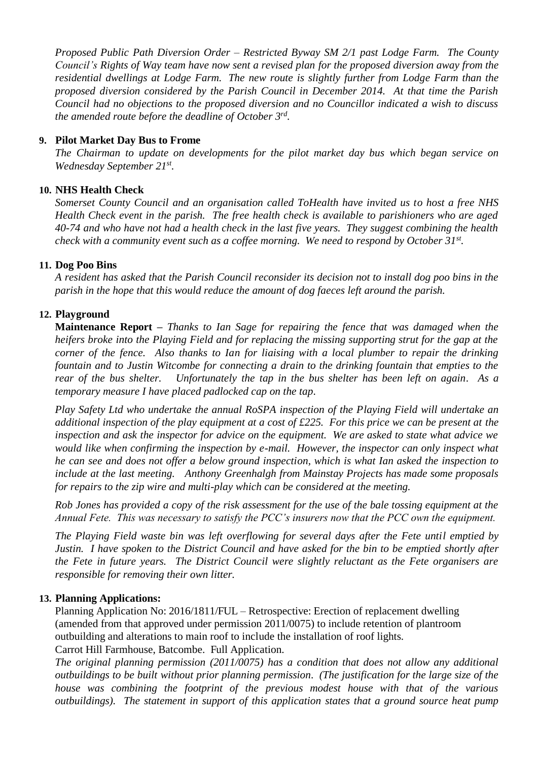*Proposed Public Path Diversion Order – Restricted Byway SM 2/1 past Lodge Farm. The County Council's Rights of Way team have now sent a revised plan for the proposed diversion away from the residential dwellings at Lodge Farm. The new route is slightly further from Lodge Farm than the proposed diversion considered by the Parish Council in December 2014. At that time the Parish Council had no objections to the proposed diversion and no Councillor indicated a wish to discuss the amended route before the deadline of October 3rd .* 

#### **9. Pilot Market Day Bus to Frome**

*The Chairman to update on developments for the pilot market day bus which began service on Wednesday September 21st .*

#### **10. NHS Health Check**

*Somerset County Council and an organisation called ToHealth have invited us to host a free NHS Health Check event in the parish. The free health check is available to parishioners who are aged 40-74 and who have not had a health check in the last five years. They suggest combining the health check with a community event such as a coffee morning. We need to respond by October 31st .*

#### **11. Dog Poo Bins**

*A resident has asked that the Parish Council reconsider its decision not to install dog poo bins in the parish in the hope that this would reduce the amount of dog faeces left around the parish.* 

#### **12. Playground**

**Maintenance Report –** *Thanks to Ian Sage for repairing the fence that was damaged when the heifers broke into the Playing Field and for replacing the missing supporting strut for the gap at the corner of the fence. Also thanks to Ian for liaising with a local plumber to repair the drinking fountain and to Justin Witcombe for connecting a drain to the drinking fountain that empties to the rear of the bus shelter. Unfortunately the tap in the bus shelter has been left on again. As a temporary measure I have placed padlocked cap on the tap.*

*Play Safety Ltd who undertake the annual RoSPA inspection of the Playing Field will undertake an additional inspection of the play equipment at a cost of £225. For this price we can be present at the inspection and ask the inspector for advice on the equipment. We are asked to state what advice we would like when confirming the inspection by e-mail. However, the inspector can only inspect what he can see and does not offer a below ground inspection, which is what Ian asked the inspection to include at the last meeting. Anthony Greenhalgh from Mainstay Projects has made some proposals for repairs to the zip wire and multi-play which can be considered at the meeting.*

*Rob Jones has provided a copy of the risk assessment for the use of the bale tossing equipment at the Annual Fete. This was necessary to satisfy the PCC's insurers now that the PCC own the equipment.*

*The Playing Field waste bin was left overflowing for several days after the Fete until emptied by Justin. I have spoken to the District Council and have asked for the bin to be emptied shortly after the Fete in future years. The District Council were slightly reluctant as the Fete organisers are responsible for removing their own litter.*

#### **13. Planning Applications:**

Planning Application No: 2016/1811/FUL – Retrospective: Erection of replacement dwelling (amended from that approved under permission 2011/0075) to include retention of plantroom outbuilding and alterations to main roof to include the installation of roof lights. Carrot Hill Farmhouse, Batcombe. Full Application.

*The original planning permission (2011/0075) has a condition that does not allow any additional outbuildings to be built without prior planning permission. (The justification for the large size of the house was combining the footprint of the previous modest house with that of the various outbuildings). The statement in support of this application states that a ground source heat pump*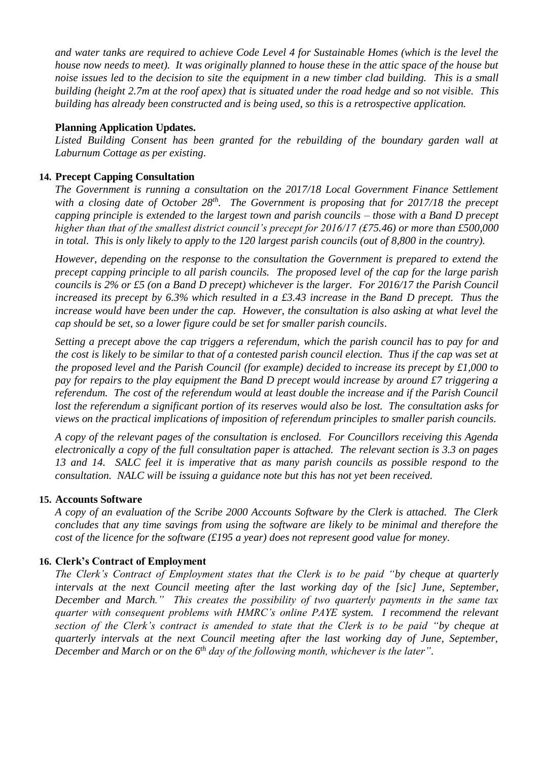*and water tanks are required to achieve Code Level 4 for Sustainable Homes (which is the level the house now needs to meet). It was originally planned to house these in the attic space of the house but noise issues led to the decision to site the equipment in a new timber clad building. This is a small building (height 2.7m at the roof apex) that is situated under the road hedge and so not visible. This building has already been constructed and is being used, so this is a retrospective application.*

#### **Planning Application Updates.**

*Listed Building Consent has been granted for the rebuilding of the boundary garden wall at Laburnum Cottage as per existing.* 

#### **14. Precept Capping Consultation**

*The Government is running a consultation on the 2017/18 Local Government Finance Settlement with a closing date of October 28th. The Government is proposing that for 2017/18 the precept capping principle is extended to the largest town and parish councils – those with a Band D precept higher than that of the smallest district council's precept for 2016/17 (£75.46) or more than £500,000 in total. This is only likely to apply to the 120 largest parish councils (out of 8,800 in the country).* 

*However, depending on the response to the consultation the Government is prepared to extend the precept capping principle to all parish councils. The proposed level of the cap for the large parish councils is 2% or £5 (on a Band D precept) whichever is the larger. For 2016/17 the Parish Council increased its precept by 6.3% which resulted in a £3.43 increase in the Band D precept. Thus the increase would have been under the cap. However, the consultation is also asking at what level the cap should be set, so a lower figure could be set for smaller parish councils.* 

*Setting a precept above the cap triggers a referendum, which the parish council has to pay for and the cost is likely to be similar to that of a contested parish council election. Thus if the cap was set at the proposed level and the Parish Council (for example) decided to increase its precept by £1,000 to pay for repairs to the play equipment the Band D precept would increase by around £7 triggering a referendum. The cost of the referendum would at least double the increase and if the Parish Council lost the referendum a significant portion of its reserves would also be lost. The consultation asks for views on the practical implications of imposition of referendum principles to smaller parish councils.* 

*A copy of the relevant pages of the consultation is enclosed. For Councillors receiving this Agenda electronically a copy of the full consultation paper is attached. The relevant section is 3.3 on pages 13 and 14. SALC feel it is imperative that as many parish councils as possible respond to the consultation. NALC will be issuing a guidance note but this has not yet been received.* 

#### **15. Accounts Software**

*A copy of an evaluation of the Scribe 2000 Accounts Software by the Clerk is attached. The Clerk concludes that any time savings from using the software are likely to be minimal and therefore the cost of the licence for the software (£195 a year) does not represent good value for money.* 

#### **16. Clerk's Contract of Employment**

*The Clerk's Contract of Employment states that the Clerk is to be paid "by cheque at quarterly intervals at the next Council meeting after the last working day of the [sic] June, September, December and March." This creates the possibility of two quarterly payments in the same tax quarter with consequent problems with HMRC's online PAYE system. I recommend the relevant section of the Clerk's contract is amended to state that the Clerk is to be paid "by cheque at quarterly intervals at the next Council meeting after the last working day of June, September, December and March or on the 6th day of the following month, whichever is the later".*